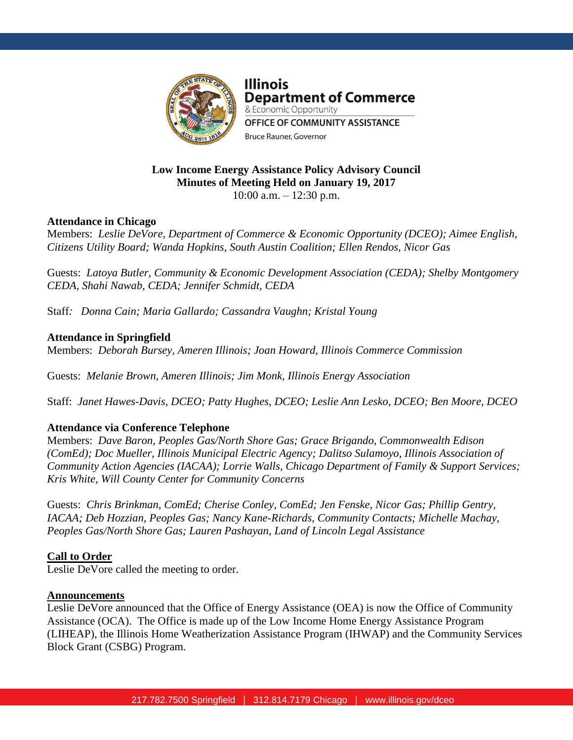

**Illinois Department of Commerce** & Economic Opportunity OFFICE OF COMMUNITY ASSISTANCE **Bruce Rauner, Governor** 

## **Low Income Energy Assistance Policy Advisory Council Minutes of Meeting Held on January 19, 2017** 10:00 a.m. – 12:30 p.m.

# **Attendance in Chicago**

Members: *Leslie DeVore, Department of Commerce & Economic Opportunity (DCEO); Aimee English, Citizens Utility Board; Wanda Hopkins, South Austin Coalition; Ellen Rendos, Nicor Gas*

Guests: *Latoya Butler, Community & Economic Development Association (CEDA); Shelby Montgomery CEDA, Shahi Nawab, CEDA; Jennifer Schmidt, CEDA* 

Staff*: Donna Cain; Maria Gallardo; Cassandra Vaughn; Kristal Young*

# **Attendance in Springfield**

Members: *Deborah Bursey, Ameren Illinois; Joan Howard, Illinois Commerce Commission* 

Guests: *Melanie Brown, Ameren Illinois; Jim Monk, Illinois Energy Association*

Staff: *Janet Hawes-Davis, DCEO; Patty Hughes, DCEO; Leslie Ann Lesko, DCEO; Ben Moore, DCEO*

# **Attendance via Conference Telephone**

Members: *Dave Baron, Peoples Gas/North Shore Gas; Grace Brigando, Commonwealth Edison (ComEd); Doc Mueller, Illinois Municipal Electric Agency; Dalitso Sulamoyo, Illinois Association of Community Action Agencies (IACAA); Lorrie Walls, Chicago Department of Family & Support Services; Kris White, Will County Center for Community Concerns*

Guests: *Chris Brinkman, ComEd; Cherise Conley, ComEd; Jen Fenske, Nicor Gas; Phillip Gentry, IACAA; Deb Hozzian, Peoples Gas; Nancy Kane-Richards, Community Contacts; Michelle Machay, Peoples Gas/North Shore Gas; Lauren Pashayan, Land of Lincoln Legal Assistance* 

# **Call to Order**

Leslie DeVore called the meeting to order.

# **Announcements**

Leslie DeVore announced that the Office of Energy Assistance (OEA) is now the Office of Community Assistance (OCA). The Office is made up of the Low Income Home Energy Assistance Program (LIHEAP), the Illinois Home Weatherization Assistance Program (IHWAP) and the Community Services Block Grant (CSBG) Program.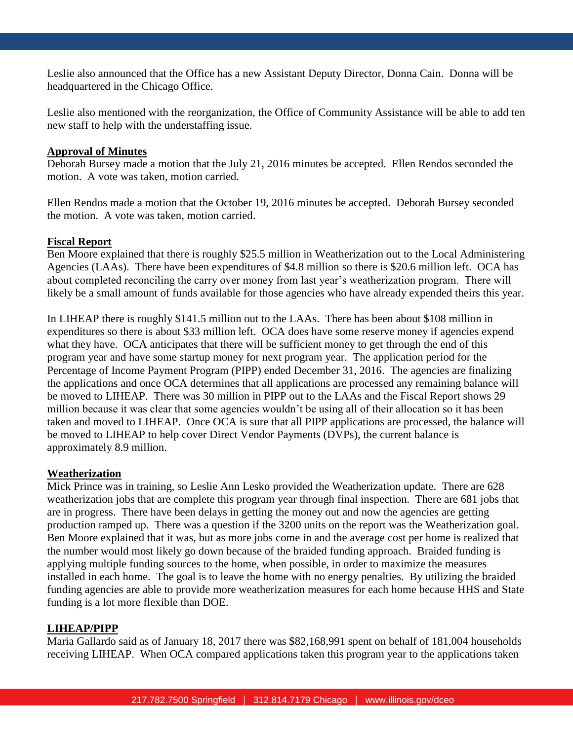Leslie also announced that the Office has a new Assistant Deputy Director, Donna Cain. Donna will be headquartered in the Chicago Office.

Leslie also mentioned with the reorganization, the Office of Community Assistance will be able to add ten new staff to help with the understaffing issue.

## **Approval of Minutes**

Deborah Bursey made a motion that the July 21, 2016 minutes be accepted. Ellen Rendos seconded the motion. A vote was taken, motion carried.

Ellen Rendos made a motion that the October 19, 2016 minutes be accepted. Deborah Bursey seconded the motion. A vote was taken, motion carried.

## **Fiscal Report**

Ben Moore explained that there is roughly \$25.5 million in Weatherization out to the Local Administering Agencies (LAAs). There have been expenditures of \$4.8 million so there is \$20.6 million left. OCA has about completed reconciling the carry over money from last year's weatherization program. There will likely be a small amount of funds available for those agencies who have already expended theirs this year.

In LIHEAP there is roughly \$141.5 million out to the LAAs. There has been about \$108 million in expenditures so there is about \$33 million left. OCA does have some reserve money if agencies expend what they have. OCA anticipates that there will be sufficient money to get through the end of this program year and have some startup money for next program year. The application period for the Percentage of Income Payment Program (PIPP) ended December 31, 2016. The agencies are finalizing the applications and once OCA determines that all applications are processed any remaining balance will be moved to LIHEAP. There was 30 million in PIPP out to the LAAs and the Fiscal Report shows 29 million because it was clear that some agencies wouldn't be using all of their allocation so it has been taken and moved to LIHEAP. Once OCA is sure that all PIPP applications are processed, the balance will be moved to LIHEAP to help cover Direct Vendor Payments (DVPs), the current balance is approximately 8.9 million.

## **Weatherization**

Mick Prince was in training, so Leslie Ann Lesko provided the Weatherization update. There are 628 weatherization jobs that are complete this program year through final inspection. There are 681 jobs that are in progress. There have been delays in getting the money out and now the agencies are getting production ramped up. There was a question if the 3200 units on the report was the Weatherization goal. Ben Moore explained that it was, but as more jobs come in and the average cost per home is realized that the number would most likely go down because of the braided funding approach. Braided funding is applying multiple funding sources to the home, when possible, in order to maximize the measures installed in each home. The goal is to leave the home with no energy penalties. By utilizing the braided funding agencies are able to provide more weatherization measures for each home because HHS and State funding is a lot more flexible than DOE.

## **LIHEAP/PIPP**

Maria Gallardo said as of January 18, 2017 there was \$82,168,991 spent on behalf of 181,004 households receiving LIHEAP. When OCA compared applications taken this program year to the applications taken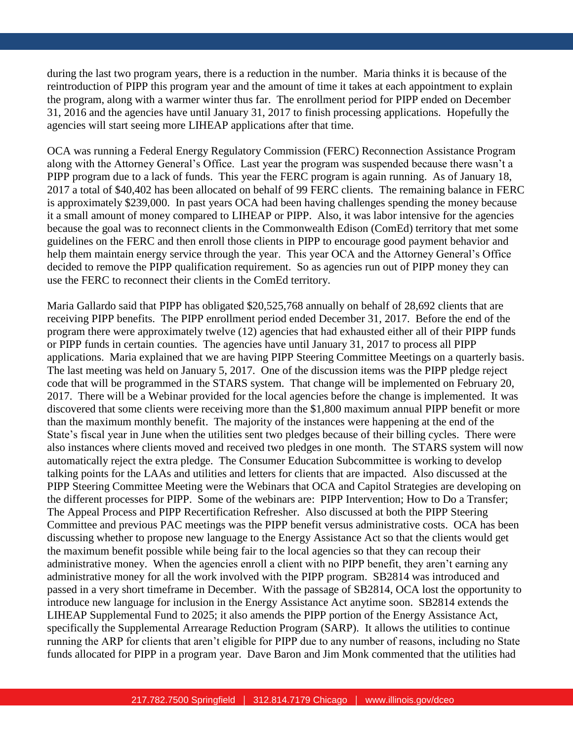during the last two program years, there is a reduction in the number. Maria thinks it is because of the reintroduction of PIPP this program year and the amount of time it takes at each appointment to explain the program, along with a warmer winter thus far. The enrollment period for PIPP ended on December 31, 2016 and the agencies have until January 31, 2017 to finish processing applications. Hopefully the agencies will start seeing more LIHEAP applications after that time.

OCA was running a Federal Energy Regulatory Commission (FERC) Reconnection Assistance Program along with the Attorney General's Office. Last year the program was suspended because there wasn't a PIPP program due to a lack of funds. This year the FERC program is again running. As of January 18, 2017 a total of \$40,402 has been allocated on behalf of 99 FERC clients. The remaining balance in FERC is approximately \$239,000. In past years OCA had been having challenges spending the money because it a small amount of money compared to LIHEAP or PIPP. Also, it was labor intensive for the agencies because the goal was to reconnect clients in the Commonwealth Edison (ComEd) territory that met some guidelines on the FERC and then enroll those clients in PIPP to encourage good payment behavior and help them maintain energy service through the year. This year OCA and the Attorney General's Office decided to remove the PIPP qualification requirement. So as agencies run out of PIPP money they can use the FERC to reconnect their clients in the ComEd territory.

Maria Gallardo said that PIPP has obligated \$20,525,768 annually on behalf of 28,692 clients that are receiving PIPP benefits. The PIPP enrollment period ended December 31, 2017. Before the end of the program there were approximately twelve (12) agencies that had exhausted either all of their PIPP funds or PIPP funds in certain counties. The agencies have until January 31, 2017 to process all PIPP applications. Maria explained that we are having PIPP Steering Committee Meetings on a quarterly basis. The last meeting was held on January 5, 2017. One of the discussion items was the PIPP pledge reject code that will be programmed in the STARS system. That change will be implemented on February 20, 2017. There will be a Webinar provided for the local agencies before the change is implemented. It was discovered that some clients were receiving more than the \$1,800 maximum annual PIPP benefit or more than the maximum monthly benefit. The majority of the instances were happening at the end of the State's fiscal year in June when the utilities sent two pledges because of their billing cycles. There were also instances where clients moved and received two pledges in one month. The STARS system will now automatically reject the extra pledge. The Consumer Education Subcommittee is working to develop talking points for the LAAs and utilities and letters for clients that are impacted. Also discussed at the PIPP Steering Committee Meeting were the Webinars that OCA and Capitol Strategies are developing on the different processes for PIPP. Some of the webinars are: PIPP Intervention; How to Do a Transfer; The Appeal Process and PIPP Recertification Refresher. Also discussed at both the PIPP Steering Committee and previous PAC meetings was the PIPP benefit versus administrative costs. OCA has been discussing whether to propose new language to the Energy Assistance Act so that the clients would get the maximum benefit possible while being fair to the local agencies so that they can recoup their administrative money. When the agencies enroll a client with no PIPP benefit, they aren't earning any administrative money for all the work involved with the PIPP program. SB2814 was introduced and passed in a very short timeframe in December. With the passage of SB2814, OCA lost the opportunity to introduce new language for inclusion in the Energy Assistance Act anytime soon. SB2814 extends the LIHEAP Supplemental Fund to 2025; it also amends the PIPP portion of the Energy Assistance Act, specifically the Supplemental Arrearage Reduction Program (SARP). It allows the utilities to continue running the ARP for clients that aren't eligible for PIPP due to any number of reasons, including no State funds allocated for PIPP in a program year. Dave Baron and Jim Monk commented that the utilities had